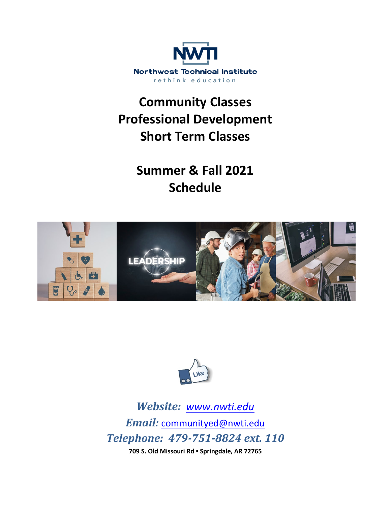

# **Community Classes Professional Development Short Term Classes**

**Summer & Fall 2021 Schedule**





*Website: [www.nwti.edu](http://www.nwti.edu/) Email:* [communityed@nwti.edu](mailto:communityed@nwti.edu) *Telephone: 479-751-8824 ext. 110* **709 S. Old Missouri Rd ▪ Springdale, AR 72765**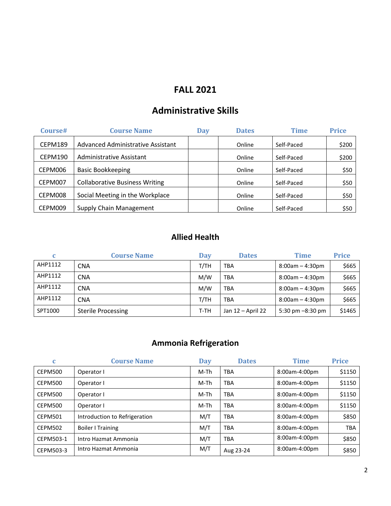#### **FALL 2021**

### **Administrative Skills**

| Course# | <b>Course Name</b>                    | <b>Day</b> | <b>Dates</b> | Time       | <b>Price</b> |
|---------|---------------------------------------|------------|--------------|------------|--------------|
| CEPM189 | Advanced Administrative Assistant     |            | Online       | Self-Paced | \$200        |
| CEPM190 | Administrative Assistant              |            | Online       | Self-Paced | \$200        |
| CEPM006 | <b>Basic Bookkeeping</b>              |            | Online       | Self-Paced | \$50         |
| CEPM007 | <b>Collaborative Business Writing</b> |            | Online       | Self-Paced | \$50         |
| CEPM008 | Social Meeting in the Workplace       |            | Online       | Self-Paced | \$50         |
| CEPM009 | Supply Chain Management               |            | Online       | Self-Paced | \$50         |

#### **Allied Health**

|         | <b>Course Name</b>        | <b>Day</b> | <b>Dates</b>      | <b>Time</b>        | <b>Price</b> |
|---------|---------------------------|------------|-------------------|--------------------|--------------|
| AHP1112 | <b>CNA</b>                | T/TH       | <b>TBA</b>        | $8:00am - 4:30pm$  | \$665        |
| AHP1112 | <b>CNA</b>                | M/W        | <b>TBA</b>        | $8:00am - 4:30pm$  | \$665        |
| AHP1112 | <b>CNA</b>                | M/W        | <b>TBA</b>        | $8:00am - 4:30pm$  | \$665        |
| AHP1112 | <b>CNA</b>                | T/TH       | <b>TBA</b>        | $8:00am - 4:30pm$  | \$665        |
| SPT1000 | <b>Sterile Processing</b> | T-TH       | Jan 12 - April 22 | 5:30 pm $-8:30$ pm | \$1465       |

### **Ammonia Refrigeration**

| C              | <b>Course Name</b>            | <b>Day</b> | <b>Dates</b> | <b>Time</b>   | <b>Price</b> |
|----------------|-------------------------------|------------|--------------|---------------|--------------|
| CEPM500        | Operator I                    | M-Th       | <b>TBA</b>   | 8:00am-4:00pm | \$1150       |
| CEPM500        | Operator I                    | M-Th       | <b>TBA</b>   | 8:00am-4:00pm | \$1150       |
| CEPM500        | Operator I                    | M-Th       | <b>TBA</b>   | 8:00am-4:00pm | \$1150       |
| <b>CEPM500</b> | Operator I                    | M-Th       | <b>TBA</b>   | 8:00am-4:00pm | \$1150       |
| CEPM501        | Introduction to Refrigeration | M/T        | <b>TBA</b>   | 8:00am-4:00pm | \$850        |
| CEPM502        | <b>Boiler I Training</b>      | M/T        | <b>TBA</b>   | 8:00am-4:00pm | <b>TBA</b>   |
| CEPM503-1      | Intro Hazmat Ammonia          | M/T        | <b>TBA</b>   | 8:00am-4:00pm | \$850        |
| CEPM503-3      | Intro Hazmat Ammonia          | M/T        | Aug 23-24    | 8:00am-4:00pm | \$850        |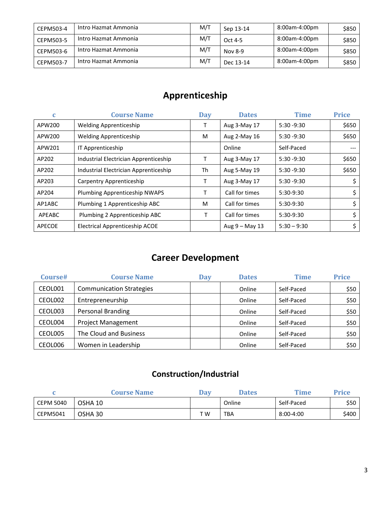| CEPM503-4 | Intro Hazmat Ammonia | M/T | Sep 13-14 | 8:00am-4:00pm | \$850 |
|-----------|----------------------|-----|-----------|---------------|-------|
| CEPM503-5 | Intro Hazmat Ammonia | M/T | Oct 4-5   | 8:00am-4:00pm | \$850 |
| CEPM503-6 | Intro Hazmat Ammonia | M/T | Nov 8-9   | 8:00am-4:00pm | \$850 |
| CEPM503-7 | Intro Hazmat Ammonia | M/T | Dec 13-14 | 8:00am-4:00pm | \$850 |

## **Apprenticeship**

| C      | <b>Course Name</b>                    | <b>Day</b> | <b>Dates</b>     | <b>Time</b>   | <b>Price</b> |
|--------|---------------------------------------|------------|------------------|---------------|--------------|
| APW200 | <b>Welding Apprenticeship</b>         |            | Aug 3-May 17     | $5:30 - 9:30$ | \$650        |
| APW200 | <b>Welding Apprenticeship</b>         | M          | Aug 2-May 16     | $5:30 - 9:30$ | \$650        |
| APW201 | IT Apprenticeship                     |            | Online           | Self-Paced    |              |
| AP202  | Industrial Electrician Apprenticeship | т          | Aug 3-May 17     | $5:30 - 9:30$ | \$650        |
| AP202  | Industrial Electrician Apprenticeship | Th         | Aug 5-May 19     | $5:30 - 9:30$ | \$650        |
| AP203  | Carpentry Apprenticeship              | Т          | Aug 3-May 17     | $5:30 - 9:30$ | \$           |
| AP204  | Plumbing Apprenticeship NWAPS         | Τ          | Call for times   | 5:30-9:30     | \$           |
| AP1ABC | Plumbing 1 Apprenticeship ABC         | M          | Call for times   | 5:30-9:30     | \$           |
| APEABC | Plumbing 2 Apprenticeship ABC         |            | Call for times   | $5:30-9:30$   | \$           |
| APECOE | Electrical Apprenticeship ACOE        |            | Aug $9 -$ May 13 | $5:30 - 9:30$ | \$           |

### **Career Development**

| Course# | <b>Course Name</b>              | Day | <b>Dates</b> | <b>Time</b> | <b>Price</b> |
|---------|---------------------------------|-----|--------------|-------------|--------------|
| CEOL001 | <b>Communication Strategies</b> |     | Online       | Self-Paced  | \$50         |
| CEOL002 | Entrepreneurship                |     | Online       | Self-Paced  | \$50         |
| CEOL003 | <b>Personal Branding</b>        |     | Online       | Self-Paced  | \$50         |
| CEOL004 | <b>Project Management</b>       |     | Online       | Self-Paced  | \$50         |
| CEOL005 | The Cloud and Business          |     | Online       | Self-Paced  | \$50         |
| CEOL006 | Women in Leadership             |     | Online       | Self-Paced  | \$50         |

#### **Construction/Industrial**

|           | <b>Course Name</b> | Dav | <b>Dates</b> | Time       | Price |
|-----------|--------------------|-----|--------------|------------|-------|
| CEPM 5040 | OSHA 10            |     | Online       | Self-Paced | \$50  |
| CEPM5041  | OSHA 30            | T W | TBA          | 8:00-4:00  | \$400 |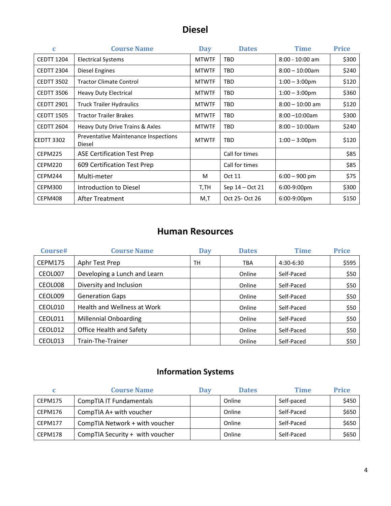### **Diesel**

| $\mathbf{C}$      | <b>Course Name</b>                                    | <b>Day</b>   | <b>Dates</b>    | <b>Time</b>             | <b>Price</b> |
|-------------------|-------------------------------------------------------|--------------|-----------------|-------------------------|--------------|
| <b>CEDTT 1204</b> | <b>Electrical Systems</b>                             | <b>MTWTF</b> | TBD             | $8:00 - 10:00$ am       | \$300        |
| <b>CEDTT 2304</b> | <b>Diesel Engines</b>                                 | <b>MTWTF</b> | TBD             | $8:00 - 10:00$ am       | \$240        |
| <b>CEDTT 3502</b> | <b>Tractor Climate Control</b>                        | <b>MTWTF</b> | TBD             | $1:00 - 3:00 \text{pm}$ | \$120        |
| <b>CEDTT 3506</b> | <b>Heavy Duty Electrical</b>                          | <b>MTWTF</b> | TBD             | $1:00 - 3:00$ pm        | \$360        |
| <b>CEDTT 2901</b> | <b>Truck Trailer Hydraulics</b>                       | <b>MTWTF</b> | TBD             | $8:00 - 10:00$ am       | \$120        |
| <b>CEDTT 1505</b> | <b>Tractor Trailer Brakes</b>                         | <b>MTWTF</b> | TBD             | $8:00 - 10:00$ am       | \$300        |
| <b>CEDTT 2604</b> | Heavy Duty Drive Trains & Axles                       | <b>MTWTF</b> | TBD             | $8:00 - 10:00$ am       | \$240        |
| CEDTT 3302        | <b>Preventative Maintenance Inspections</b><br>Diesel | <b>MTWTF</b> | TBD             | $1:00 - 3:00 \text{pm}$ | \$120        |
| CEPM225           | ASE Certification Test Prep                           |              | Call for times  |                         | \$85         |
| CEPM220           | 609 Certification Test Prep                           |              | Call for times  |                         | \$85         |
| CEPM244           | Multi-meter                                           | M            | Oct 11          | $6:00 - 900$ pm         | \$75         |
| CEPM300           | Introduction to Diesel                                | T,TH         | Sep 14 – Oct 21 | 6:00-9:00pm             | \$300        |
| CEPM408           | <b>After Treatment</b>                                | M,T          | Oct 25- Oct 26  | 6:00-9:00pm             | \$150        |

#### **Human Resources**

| Course# | <b>Course Name</b>           | <b>Day</b> | <b>Dates</b> | <b>Time</b> | <b>Price</b> |
|---------|------------------------------|------------|--------------|-------------|--------------|
| CEPM175 | Aphr Test Prep               | <b>TH</b>  | <b>TBA</b>   | 4:30-6:30   | \$595        |
| CEOL007 | Developing a Lunch and Learn |            | Online       | Self-Paced  | \$50         |
| CEOL008 | Diversity and Inclusion      |            | Online       | Self-Paced  | \$50         |
| CEOL009 | <b>Generation Gaps</b>       |            | Online       | Self-Paced  | \$50         |
| CEOL010 | Health and Wellness at Work  |            | Online       | Self-Paced  | \$50         |
| CEOL011 | <b>Millennial Onboarding</b> |            | Online       | Self-Paced  | \$50         |
| CEOL012 | Office Health and Safety     |            | Online       | Self-Paced  | \$50         |
| CEOL013 | Train-The-Trainer            |            | Online       | Self-Paced  | \$50         |

### **Information Systems**

|         | <b>Course Name</b>              | Dav | <b>Dates</b> | Time       | <b>Price</b> |
|---------|---------------------------------|-----|--------------|------------|--------------|
| CEPM175 | CompTIA IT Fundamentals         |     | Online       | Self-paced | \$450        |
| CEPM176 | CompTIA A+ with voucher         |     | Online       | Self-Paced | \$650        |
| CEPM177 | CompTIA Network + with voucher  |     | Online       | Self-Paced | \$650        |
| CEPM178 | CompTIA Security + with voucher |     | Online       | Self-Paced | \$650        |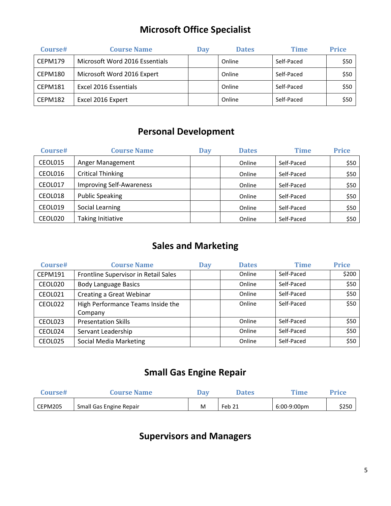### **Microsoft Office Specialist**

| Course# | <b>Course Name</b>             | Dav | <b>Dates</b> | <b>Time</b> | <b>Price</b> |
|---------|--------------------------------|-----|--------------|-------------|--------------|
| CEPM179 | Microsoft Word 2016 Essentials |     | Online       | Self-Paced  | \$50         |
| CEPM180 | Microsoft Word 2016 Expert     |     | Online       | Self-Paced  | \$50         |
| CEPM181 | Excel 2016 Essentials          |     | Online       | Self-Paced  | \$50         |
| CEPM182 | Excel 2016 Expert              |     | Online       | Self-Paced  | \$50         |

### **Personal Development**

| Course# | <b>Course Name</b>              | <b>Day</b> | <b>Dates</b> | Time       | <b>Price</b> |
|---------|---------------------------------|------------|--------------|------------|--------------|
| CEOL015 | Anger Management                |            | Online       | Self-Paced | \$50         |
| CEOL016 | <b>Critical Thinking</b>        |            | Online       | Self-Paced | \$50         |
| CEOL017 | <b>Improving Self-Awareness</b> |            | Online       | Self-Paced | \$50         |
| CEOL018 | <b>Public Speaking</b>          |            | Online       | Self-Paced | \$50         |
| CEOL019 | Social Learning                 |            | Online       | Self-Paced | \$50         |
| CEOL020 | Taking Initiative               |            | Online       | Self-Paced | \$50         |

### **Sales and Marketing**

| Course# | <b>Course Name</b>                   | <b>Day</b> | <b>Dates</b> | <b>Time</b> | <b>Price</b> |
|---------|--------------------------------------|------------|--------------|-------------|--------------|
| CEPM191 | Frontline Supervisor in Retail Sales |            | Online       | Self-Paced  | \$200        |
| CEOL020 | <b>Body Language Basics</b>          |            | Online       | Self-Paced  | \$50         |
| CEOL021 | Creating a Great Webinar             |            | Online       | Self-Paced  | \$50         |
| CEOL022 | High Performance Teams Inside the    |            | Online       | Self-Paced  | \$50         |
|         | Company                              |            |              |             |              |
| CEOL023 | <b>Presentation Skills</b>           |            | Online       | Self-Paced  | \$50         |
| CEOL024 | Servant Leadership                   |            | Online       | Self-Paced  | \$50         |
| CEOL025 | <b>Social Media Marketing</b>        |            | Online       | Self-Paced  | \$50         |

### **Small Gas Engine Repair**

| Course# | <b>Course Name</b>      | $\boldsymbol{\mathsf{v}}$ | <b>Dates</b> | Time        | Price |
|---------|-------------------------|---------------------------|--------------|-------------|-------|
| CEPM205 | Small Gas Engine Repair | M                         | Feb 21       | 6:00-9:00pm | \$250 |

### **Supervisors and Managers**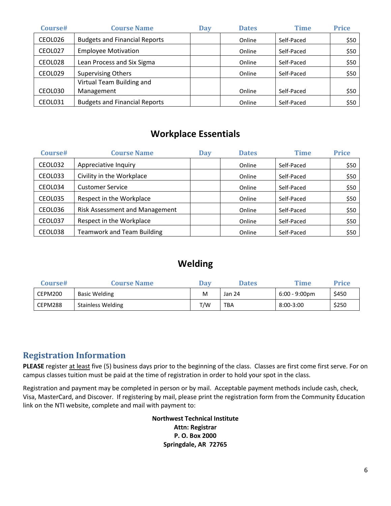| Course# | <b>Course Name</b>                   | <b>Day</b> | <b>Dates</b> | <b>Time</b> | <b>Price</b> |
|---------|--------------------------------------|------------|--------------|-------------|--------------|
| CEOL026 | <b>Budgets and Financial Reports</b> |            | Online       | Self-Paced  | \$50         |
| CEOL027 | <b>Employee Motivation</b>           |            | Online       | Self-Paced  | \$50         |
| CEOL028 | Lean Process and Six Sigma           |            | Online       | Self-Paced  | \$50         |
| CEOL029 | <b>Supervising Others</b>            |            | Online       | Self-Paced  | \$50         |
|         | Virtual Team Building and            |            |              |             |              |
| CEOL030 | Management                           |            | Online       | Self-Paced  | \$50         |
| CEOL031 | <b>Budgets and Financial Reports</b> |            | Online       | Self-Paced  | \$50         |

#### **Workplace Essentials**

| Course# | <b>Course Name</b>                    | <b>Day</b> | <b>Dates</b> | <b>Time</b> | <b>Price</b> |
|---------|---------------------------------------|------------|--------------|-------------|--------------|
| CEOL032 | Appreciative Inquiry                  |            | Online       | Self-Paced  | \$50         |
| CEOL033 | Civility in the Workplace             |            | Online       | Self-Paced  | \$50         |
| CEOL034 | <b>Customer Service</b>               |            | Online       | Self-Paced  | \$50         |
| CEOL035 | Respect in the Workplace              |            | Online       | Self-Paced  | \$50         |
| CEOL036 | <b>Risk Assessment and Management</b> |            | Online       | Self-Paced  | \$50         |
| CEOL037 | Respect in the Workplace              |            | Online       | Self-Paced  | \$50         |
| CEOL038 | <b>Teamwork and Team Building</b>     |            | Online       | Self-Paced  | \$50         |

#### **Welding**

| Course# | <b>Course Name</b>       | Dav | <b>Dates</b> | <b>Time</b>      | Price |
|---------|--------------------------|-----|--------------|------------------|-------|
| CEPM200 | Basic Welding            | M   | Jan 24       | $6:00 - 9:00$ pm | \$450 |
| CEPM288 | <b>Stainless Welding</b> | ⊤/W | <b>TBA</b>   | 8:00-3:00        | \$250 |

#### **Registration Information**

**PLEASE** register at least five (5) business days prior to the beginning of the class. Classes are first come first serve. For on campus classes tuition must be paid at the time of registration in order to hold your spot in the class.

Registration and payment may be completed in person or by mail. Acceptable payment methods include cash, check, Visa, MasterCard, and Discover. If registering by mail, please print the registration form from the Community Education link on the NTI website, complete and mail with payment to:

> **Northwest Technical Institute Attn: Registrar P. O. Box 2000 Springdale, AR 72765**